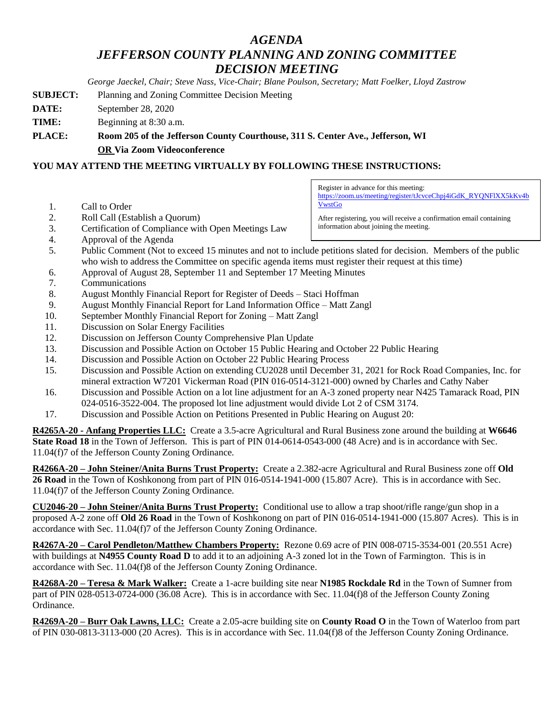## *AGENDA JEFFERSON COUNTY PLANNING AND ZONING COMMITTEE DECISION MEETING*

*George Jaeckel, Chair; Steve Nass, Vice-Chair; Blane Poulson, Secretary; Matt Foelker, Lloyd Zastrow*

- **SUBJECT:** Planning and Zoning Committee Decision Meeting
- **DATE:** September 28, 2020
- **TIME:** Beginning at 8:30 a.m.
- **PLACE: Room 205 of the Jefferson County Courthouse, 311 S. Center Ave., Jefferson, WI OR Via Zoom Videoconference**

## **YOU MAY ATTEND THE MEETING VIRTUALLY BY FOLLOWING THESE INSTRUCTIONS:**

- 1. Call to Order
- 2. Roll Call (Establish a Quorum)
- 3. Certification of Compliance with Open Meetings Law
- 4. Approval of the Agenda

5. Public Comment (Not to exceed 15 minutes and not to include petitions slated for decision. Members of the public who wish to address the Committee on specific agenda items must register their request at this time)

- 6. Approval of August 28, September 11 and September 17 Meeting Minutes
- 7. Communications
- 8. August Monthly Financial Report for Register of Deeds Staci Hoffman
- 9. August Monthly Financial Report for Land Information Office Matt Zangl
- 10. September Monthly Financial Report for Zoning Matt Zangl
- 11. Discussion on Solar Energy Facilities
- 12. Discussion on Jefferson County Comprehensive Plan Update
- 13. Discussion and Possible Action on October 15 Public Hearing and October 22 Public Hearing
- 14. Discussion and Possible Action on October 22 Public Hearing Process
- 15. Discussion and Possible Action on extending CU2028 until December 31, 2021 for Rock Road Companies, Inc. for mineral extraction W7201 Vickerman Road (PIN 016-0514-3121-000) owned by Charles and Cathy Naber
- 16. Discussion and Possible Action on a lot line adjustment for an A-3 zoned property near N425 Tamarack Road, PIN 024-0516-3522-004. The proposed lot line adjustment would divide Lot 2 of CSM 3174.
- 17. Discussion and Possible Action on Petitions Presented in Public Hearing on August 20:

**R4265A-20 - Anfang Properties LLC:** Create a 3.5-acre Agricultural and Rural Business zone around the building at **W6646 State Road 18** in the Town of Jefferson. This is part of PIN 014-0614-0543-000 (48 Acre) and is in accordance with Sec. 11.04(f)7 of the Jefferson County Zoning Ordinance.

**R4266A-20 – John Steiner/Anita Burns Trust Property:** Create a 2.382-acre Agricultural and Rural Business zone off **Old 26 Road** in the Town of Koshkonong from part of PIN 016-0514-1941-000 (15.807 Acre). This is in accordance with Sec. 11.04(f)7 of the Jefferson County Zoning Ordinance.

**CU2046-20 – John Steiner/Anita Burns Trust Property:** Conditional use to allow a trap shoot/rifle range/gun shop in a proposed A-2 zone off **Old 26 Road** in the Town of Koshkonong on part of PIN 016-0514-1941-000 (15.807 Acres). This is in accordance with Sec. 11.04(f)7 of the Jefferson County Zoning Ordinance.

**R4267A-20 – Carol Pendleton/Matthew Chambers Property:** Rezone 0.69 acre of PIN 008-0715-3534-001 (20.551 Acre) with buildings at **N4955 County Road D** to add it to an adjoining A-3 zoned lot in the Town of Farmington. This is in accordance with Sec. 11.04(f)8 of the Jefferson County Zoning Ordinance.

**R4268A-20 – Teresa & Mark Walker:** Create a 1-acre building site near **N1985 Rockdale Rd** in the Town of Sumner from part of PIN 028-0513-0724-000 (36.08 Acre). This is in accordance with Sec. 11.04(f)8 of the Jefferson County Zoning Ordinance.

**R4269A-20 – Burr Oak Lawns, LLC:** Create a 2.05-acre building site on **County Road O** in the Town of Waterloo from part of PIN 030-0813-3113-000 (20 Acres). This is in accordance with Sec. 11.04(f)8 of the Jefferson County Zoning Ordinance.

Register in advance for this meeting: [https://zoom.us/meeting/register/tJcvceChpj4iGdK\\_RYQNFlXX5kKv4b](https://zoom.us/meeting/register/tJcvceChpj4iGdK_RYQNFlXX5kKv4bVwstGo) [VwstGo](https://zoom.us/meeting/register/tJcvceChpj4iGdK_RYQNFlXX5kKv4bVwstGo)

After registering, you will receive a confirmation email containing information about joining the meeting.